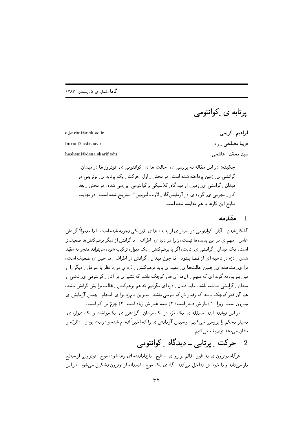پرتابه ی ِ کوانتومے

ابراهيم \_ كريمى e karimi@uok ac.ir فريبا مصلحى ٍ راد  $f mrad@i$ ashs.ac.ir سید محمّد ِ هاشمے hashemi@dena.sharif.edu

چکیده: در این مقاله به بررسی ی ِ حالت ها ی ِ کوانتومی ی ِ نوترونها در میدان ِ گرانشی ی ِ زمین پرداخته شده است. در بخش ِ اول، حرکت ِ یک پرتابه ی ِ نوترونی در میدان ِ گرانشی ی ِ زمین، از دید گاه ِ کلاسیکی و کوانتومی، بررسی شده. در بخش ِ بعد کار <sub>-</sub> تجربی ی ِ گروه ی در آزمایشگاه <sub>-</sub> لاوء ـ لَنژوین <sup>ه)</sup> تشریح شده است. در نهایت نتايج اين كارها با هم مقايسه شده است.

## مقدمه 1

آشکار شدن ۱ آثار ۱ کوانتومی در بسیار ی از پدیده ها ی ِ فیزیکی تجربه شده است. اما معمولاً گرانش عامل \_ مهم ي در اين پديدهها نيست، زيرا در دنيا ي\_ اطراف \_ ما گرانش از ديگر برهمكنشها ضعيفتر است. یک میدان <sub>-</sub> گرانشی ی ِ ثابت، اگر با برهمکنش <sub>-</sub> یک دیواره ترکیب شود، میتواند منجر به مقیّد شدن \_ ذرّه در ناحیه ای از فضا بشود. امّا چون میدان \_ گرانش در اطراف \_ ما خیل ی ضعیف است، برا ی ِ مشاهده ی ِ چنین حالتها ی ِ مقید ی باید برهمکنش ِ ِ دْرِه ی مورد نظر با عوامل ِ دیگر را از بین ببریم، به گونه ای که سهم <sub>-</sub> آنها آن قدر کوچک باشد که تئثیر ی بر آثار <sub>-</sub> کوانتومی ی ِ ناشی از میدان \_ گرانشی نداشته باشد. باید دنبال \_ ذره ای بگردیم که هم برهمکنش \_ غالب برا یش گرانش باشد، هم آن قدر کوچک باشد که رفتار ش کوانتومی باشد. بهترین نامزد برا ی ِ انجام ِ چنین آزمایش ی نوترون است، زيرا: ١) بارَ ش صفر است؛ ٢) نيمه عُمرَ ش زياد است؛ ٣) جرمَ ش كم است.

در این نوشته، ابتدا مسئله ی ِ یک درّه در یک میدان ِ گرانشی ی ِ یکنواخت و یک دیواره ی ِ بسیار محکم را بررسی میکنیم، و سپس آزمایش ی را که اخیراً انجام شده و درست بودن ِ نظریّه را نشان مے دھد توصیف می کنیم.

## حرکت ۔ پرتابی ۔ دیدگاہ ۔ کوانتومی  $\overline{2}$

هرگاه نوترون ی به طور <sub>-</sub> قائم بر رو ی ِ سطح <sub>-</sub> بازتاباننده ای رها شود، موج <sub>-</sub> نوترونی از سطح باز میتابد و با خودَ ش تداخل میکند. گاه ی یک موج ِ ایستاده از نوترون تشکیل میشود. در این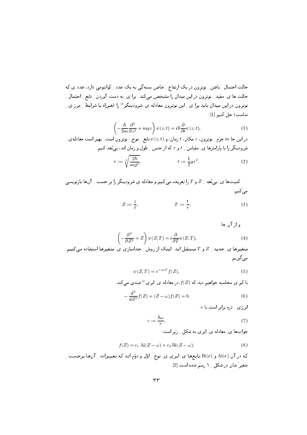حالت احتمال ِ یافتن ِ نوترون در یک ارتفاع ِ خاص بستهگی به یک عدد ِ کوانتومی دارد، عدد ی که حالت ها ی ِ مقید ِ نوترون در این میدان را مشخص می کند. برا ی ِ به دست آوردن ِ ِ تابع ِ ِ احتمال ِ ِ نوترون در این میدان باید برا ی <sub>-</sub> این نوترون معادله ی ِ شرودینگر<sup>6</sup> را (همراه با شرایط <sub>-</sub> مرز ی <sub>-</sub> مناسب) حل كنيم [1]:

$$
\left(-\frac{\hbar}{2m}\frac{\partial^2}{\partial z^2} + mgz\right)\psi(z,t) = i\hbar\frac{\partial}{\partial t}\psi(z,t),\tag{1}
$$

 $\mathcal{L}_1$  در این جا  $m$  جِرم ِ نوترون،  $z$  مکان،  $t$  زمان، و  $\psi(z,t)$  تابع ِ موج ِ نوترون است. بهتر است معادله $m$  ک شرودینگر را با پارامترها ی ِ مقیاس ِ  $\ell$  و  $\tau$  که از جنس ِ طول و زمان اند، بی بُعد کنیم.

$$
\tau := \sqrt[3]{\frac{2\hbar}{mg^2}}, \qquad \ell := \frac{1}{2}g\tau^2. \tag{2}
$$

کمیتها ی ِ بی بُعد \_ Z و T را تعریف می کنیم و معادله ی شرودینگر را بر حسب \_ آنها بازنویسی میکنیم

$$
Z := \frac{z}{\ell}, \qquad T := \frac{t}{\tau}.
$$
 (3)

و از آن جا:

$$
\left(-\frac{\partial^2}{\partial Z^2} + Z\right)\psi(Z,T) = i\frac{\partial}{\partial T}\psi(Z,T),\tag{4}
$$

متغیرها ی ِ جدید ِ Z و Tمستقل اند. اینک از روش ِ جداسازی ی ِ متغیرها استفاده میکنیم. می گیریم

$$
\psi(Z,T) = e^{-i\omega T} f(Z),\tag{5}
$$

با کم ی محاسبه خواهیم دید که  $f(Z)$  در معادله ی ِ ایری $^{(c)}$  صدق میکند:

$$
-\frac{d^2}{dZ^2}f(Z) + (Z - \omega)f(Z) = 0.
$$
 (6)

 $\epsilon$ انرژی ِ دره برابر است با  $\epsilon$ 

$$
\epsilon := \frac{\hbar \omega}{\tau}.\tag{7}
$$

جوابها ی معادله ی ایری به شکل وزیر است:

$$
f(Z) = c_1 \operatorname{Ai}(Z - \omega) + c_2 \operatorname{Bi}(Z - \omega).
$$
 (8)

که در آن (Ai(x و (Bi(x تابعها ی ِ ایری ی ِ نوع ِ اوّل و دوّم انـد کـه تـغییـرات ِ آنها بـرحسب ِ ِ متغیر ً شان در شکل ۱ رسم شده است [2].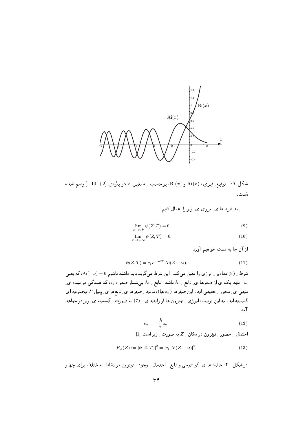

شکل ۱: توابع ِ ایری،  ${\rm Ai}(x)$  و  ${\rm Bi}(x)$ ، برحسب ِ متغیر ِ  $x$  در بازه $[-10, +2]$  رسم شده است.

باید شرطها ی ِ مرزی ی ِ زیر را اعمال کنیم:

$$
\lim_{Z \to 0^+} \psi(Z, T) = 0,\tag{9}
$$

$$
\lim_{Z \to +\infty} \psi(Z, T) = 0. \tag{10}
$$

از آن جا به دست خواهیم آورد:

$$
\psi(Z,T) = c_1 e^{-i\omega T} \text{Ai}(Z - \omega). \tag{11}
$$

شرط \_ (9) مقادیر \_ انر ژی را معین می کند. این شرط می گوید باید داشته باشیم ai(-w) = 0، که یعنی ب باید یک ی از صفرها ی ِ تابع ِ Ai باشد. تابع ِ Ai بهشمار صفر دارد، که همهگی در نیمه ی ِ  $\omega$ منفی ی ِ محور ِ حقیقی اند. این صفرها ( «z ها)، مانند ِ صفرها ی ِ تابعها ی ِ بِسِلٌ <sup>e)</sup>، مجموعه ای گسسته اند. به این ترتیب، انرژی ِ نوترون ها از رابطه ی ِ (7) به صورت ِ گسسته ی ِ زیر در خواهد آمد :

$$
\epsilon_n = -\frac{\hbar}{\tau} z_n. \tag{12}
$$

احتمال \_ حضور \_ نوترون در مكان \_ Z به صورت \_ زير است [1]:

$$
P_Q(Z) := |\psi(Z, T)|^2 = |c_1 \text{ Ai}(Z - \omega)|^2.
$$
 (13)

در شکل \_ ٢، حالتها ي\_ کوانتومي و تابع \_ احتمال \_ وجود \_ نوترون در نقاط \_ مختلف براي چهار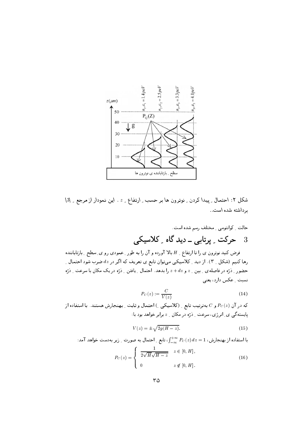

شکل ۲: احتمال ِ پیدا کردن ِ نوترون ها بر حسب ِ ارتفاع ِ ِ z . این نمودار از مرجع ِ  $[3]$ بر داشته شده است..

فرض کنید نوترون ی را تا ارتفاع <sub>-</sub> H بالا آورده و آن را به طور <sub>-</sub> عمودی رو ی ِ سطح <sub>-</sub> بازتاباننده رها کنیم (شکل Ma). از دید Mعلاسیکی میتوان تابع ی تعریف که اگر در  $dz$  ضرب شود احتمال  $\,$ حضور \_ ذرّه در فاصلهى \_ بين \_ z و z + dz را بدهد. احتمال \_ يافتن \_ ذرّه در يک مکان با سرعت \_ ذرّه نسبت ِ عکس دارد، یعنی

$$
P_C(z) := \frac{C}{V(z)}\tag{14}
$$

که در آن  $P_{C}(z)$  و  $C$  بهترتیب تابع ِ (کلاسیکی ِ ) احتمال و ثابت ِ بهنجارش هستند. با استفاده از پایسته گې ی. انرژي، سرعت په در مکان په پرایر خواهد بود یا:

$$
V(z) = \pm \sqrt{2g(H-z)}.\tag{15}
$$

با استفاده از بهنجارش، 1 $z=1\sum_{-\infty}^{+\infty}P_{C}(z)$ ، تابع ِ احتمال به صورت ِ زیر بهدست خواهد آمد:  $P_C(z) = \begin{cases} \frac{1}{2\sqrt{H}\sqrt{H-z}} & z \in [0, H], \\ 0 & z \notin [0, H]. \end{cases}$  $(16)$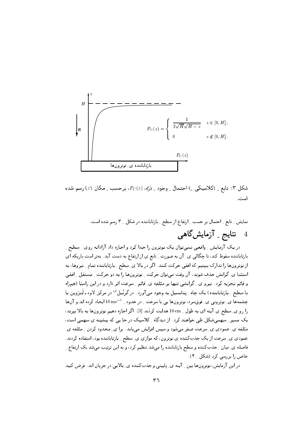

شکل ۳: تابع ِ (کلاسیکی ِ ) احتمال ِ وجود ِ دُرَّه، ( $P_C(z)$ ، برحسب ِ مکان (¿) رسم شده است.

نمایش ِ تابع ِ احتمال بر حسب ِ ارتفاع از سطح ِ بازتاباننده در شکل ِ ۳ رسم شده است. نتایج <sub>۔</sub> آزمایش گاهی  $\overline{4}$ 

در یک آزمایش ِ واقعبی نمبیتوان یک نوترون را جدا کرد و اجازه داد آزادانه روی ِ سطح ِ بازتاباننده سقوط کند، تا چگالی ی ِ آن به صورت ِ تابع ی از ارتفاع به دست آید. بهتر است باریکه ای از نوترونها را تدارک ببینیم که افقی حرکت کنند. اگر در بالا ی ِ سطح ِ بازتاباننده تمام ِ نیروها، به استثنا ی ِ گرانش حذف شوند، آن وقت میتوان حرکت ِ نوترونها را به دو حرکت ِ مستقل ِ افقی و قائم تجزیه کرد. نیرو ی گرانشی تنها بر مئلفه ی قائم په سرعت اثر دارد و در این راستا (همراه با سطح ِ بازتاباننده) یک چاه ِ پتانسیل به وجود می آورد. در گرنُبل<sup>4)</sup> در مرکز ِ لاوء ـ لَنژوین با چشمهها ی ِ نوترونی ی ِ فوق سرد، نوترونها یی با سرعت ِ در حدود ِ 1  $\rm{m s^{-1}}$  ایجاد کرده اند و آنها را رو ي ِ سطح ي آينه اي به طول 10 cm هدايت كردَند [3]. اگر اجازه دهيم نوترونها به بالا بيرند، یک مسیر ِ سهمیشکل طی خواهند کرد. از دیدگاه ِ کلاسیک در جا یی که بیشینه ی سهمی است، مثلفه ی ِ عمودی ی ِ سرعت صفر میشود و سپس افزایش می یابد. برا ی ِ محدود کردن ِ مثلفه ی ِ عمودی ی ِ سرعت از یک جذبکننده ی نوترون، که موازی ی ِ سطح ِ بازتاباننده بود، استفاده کردند. فاصله ی ِ میان ِ جذبکننده و سطح بازتاباننده را میشد تنظیم کرد، و به این ترتیب میشد یک ارتفاع ِ خاص ,ا پر سي کړد (شکل \_ ۴).

در این آزمایش، نوترونها بین <sub>-</sub> آینه ی<sub>-</sub> پایینی و جذبکننده ی<sub>-</sub> بالایی در جریان اند. فرض کنید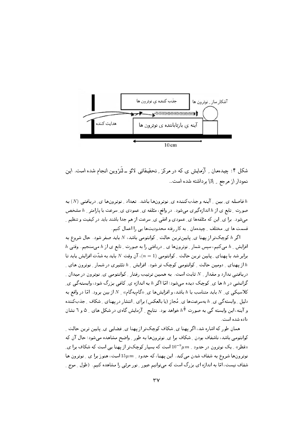

شکل ۴: چیدهمان ِ آزمایش ی که در مرکز ِ تحقیقاتی لائو ـ لَنژوین انجام شده است. این نمودار از مرجع \_ [3] برداشته شده است..

فاصله ي بين پر آينه و جذب كننده ي نوترونها باشد. تعداد په نوترونها ي دريافتي  $(N)$  به  $h$ صورت ِ تابع ی از h اندازهگیری می شود. در واقع، مئلفه ی ِ عمودی ی ِ سرعت با پارامتر ِ h مشخص میشود. برا ی ِ این که مئلفهها ی ِ عمودی و افقی ی ِ سرعت از هم جدا باشند باید در کیفیت و تنظیم ِ قسمت ها ی ِ مختلف ِ چیدهمان ِ به کار رفته محدودیتها یی را اعمال کنیم.

اگر h کوچکتر از پهنا ی ِ پایینترین حالت ِ کوانتومی باشد، N باید صفر شود . حال شروع به  $\,h\,$  افزایش ِ  $\,h\,$  میکنیم، سپس شمار ِ نوترونِها ی ِ دریافتی را به صورت ِ تابع ی از  $\,h\,$  میسنجیم. وقتی برابر شد با یهنای ِ پایین ترین حالت ِ کوانتومی ( $n=1$ )، آن وقت  $N$  باید به شدّت افزایش پابد تا از یهنای ِ دومین حالت ِ کوانتومی کوچک تر شود. افزایش ِ h تئثیری در شمار ِ نوترون های ِ  $h$ دریافتی ندارد و مقدار M شابت است. به همین ترتیب رفتار M کوانتومی ی ِ نوترون در میدان M گرانشی در h ها ی ِ کوچک دیده می شود؛ امّا اگر h به اندازه ی ِ کافی بزرگ شود، وابستهگی ی ِ کلاسیکمی ی ِ N باید متناسب با h باشد، و افزایشها ی ِ «گامبهگام» ِ N از بین برود . امّا در واقع به دلیل ِ وابسته گی ی ِ h بهسرعتها ی ِ مُجاز (یا بالعکس) برای ِ انتشار در یهنای ِ شکاف ِ جذبِکننده و آینه، این وابسته گی به صورت  $h^{\frac{3}{2}}$  خواهد بود . نتایج <sub>-</sub> آزمایش گاهی در شکل های <sub>-</sub> ۵ و ٦ نشان داده شده است.

همان طور که اشاره شد، اگر پهنا ي ِ شکاف کوچکتر از پهنا ي ِ فضايي ي ِ پايين ترين حالت ِ کوانتومی باشد، ناشفاف بودن ِ شکاف برا ی ِ نوترونها به طور ِ واضح مشاهده می شود؛ حال آن که رقطر» \_ یک نوترون در حدود \_  $\mu\,m$   $10^{-9}\mu\,m$  است که بسیار کوچک تر از یهنا یی است که شکاف برا ی نوترونها شروع به شفاف شدن میکند. این پهنا، که حدود 15µ m است، هنوز برا ی \_ نوترون ها شفاف نیست، امّا به اندازه ای بزرگ است که میتوانیم عبور ِ نور مرئی را مشاهده کنیم. (طول ِ موج ِ ِ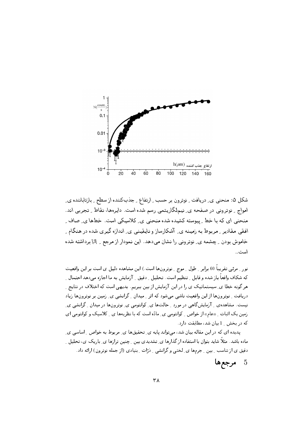

شکل ۵: منحنی ی ِ دریافت ِ نوترون بر حسب ِ ارتفاع ِ جذبِکننده از سطح ِ بازتاباننده ی ِ امواج - نوترونی در صفحه ی ِ نیمِلگاریتمی رسم شده است. دایرهها، نقاط - تجربی اند. منحنی ای که با خط ِ پیوسته کشیده شده منحنی ی ِ کلاسیکی است. خطها ی ِ صاف ِ افقبی مقادیر ِ مربوط به زمینه ی ِ آشکارساز و ناپقینبی ی ِ اندازه گیری شده در هنگام ِ خاموش بودن \_ چشمه ي\_ نوتروني را نشان مي دهد. اين نمودار از مرجع \_ [3] برداشته شده است..

نور \_ مرئي تقريباً 60 برابر \_ طول \_ موج \_ نوترونها است.) اين مشاهده دليل ي است بر اين واقعيت که شکاف واقعاً باز شده و قابل ¸ تنظیم است. تحلیل ¸ دقیق ¸ آزمایش به ما اجازه میدهد احتمال ¸ هر گونه خطا ی ِ سیستماتیک ی را در این آزمایش از بین ببریم. بدیهی است که اختلاف در نتایج ِ دریافت ِ نوترونِها از این واقعیت ناشی می شود که اثر ِ میدان ِ گرانشی ی ِ زمین بر نوترونِها زیاد نیست. مشاهدهی ِ ِ آزمایش گاهی در مورد ِ حالتها ی ِ کوانتومی ی ِ نوترونها در میدان ِ گرانشی ی ِ زمین یک اثبات ِ «عام» از خواص ِ کوانتومی ی ِ مادّه است که با نظریهها ی ِ کلاسیک و کوانتومی ای که در بخش 1 بیان شد، مطابقت دارد.

پدیده ای که در این مقاله بیان شد، میتواند پایه ی ِ تحقیقها ی ِ مربوط به خواص ِ اساسی ی ِ ماده باشد. مثلاً شاید بتوان با استفاده از گذارها ی ِ تشدیدی بین ِ چنین ترازها ی ِ باریک ی، تحلیل ِ ِ دقیق ی از تناسب ِ بین ِ جرمها ی ِ لختی و گرانشی ِ ِ دْرّات ِ بنیادی (از جمله نوترون) ارائه داد.

> $\overline{5}$ مرجعها